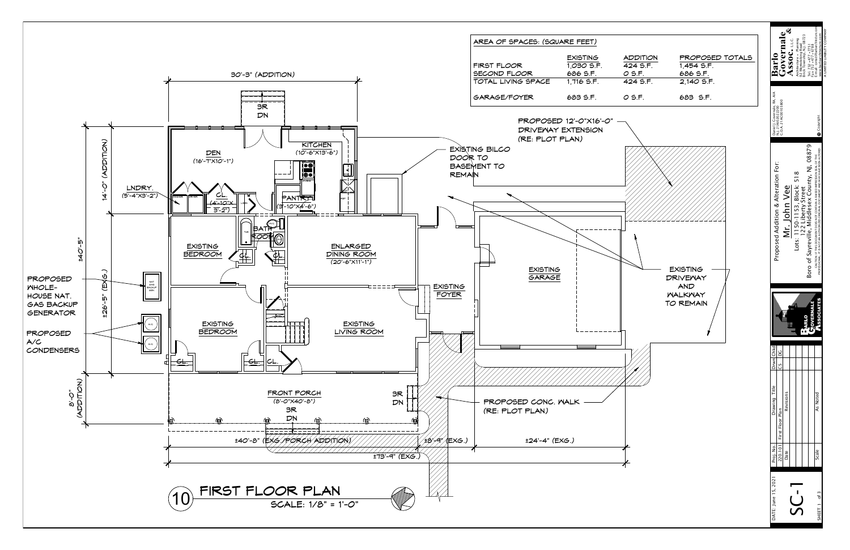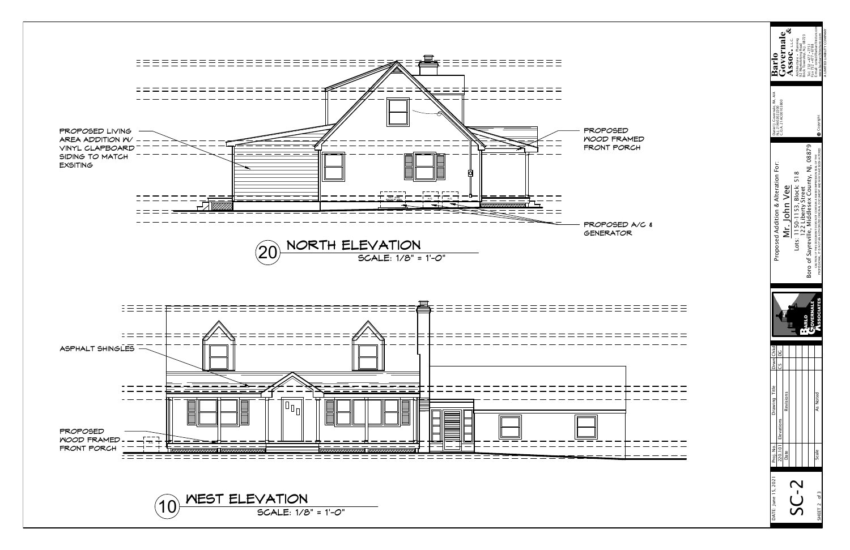| Elevations<br>220.101<br>Proj. No.<br>Scale<br>Date | Boro of Sayreville, Middlesex County, NJ, 08879<br>CAUTION: IF THIS DOCUMENT DOES NOT CONTAIN A RAISED IMPRESSION SEAL OF THE<br>PROFESSIONAL, IT IS NOT AN AUTHORIZED ORIGINAL DOCUMENT AND MAY HAVE BEEN ALTERED<br>oosed Addition & Alteration For:<br>Lots: 1150-1153, Block: 518<br>122 Liberty Street<br>Mr. John Vee<br>Prop<br><b>SSOCIATES</b><br><b>SOVERNALE</b><br><b>RLO</b><br>ù<br>Drwn Chkd<br>$\overline{a}$<br>უ<br>Drawing Title<br>Revisions<br>As Noted |
|-----------------------------------------------------|------------------------------------------------------------------------------------------------------------------------------------------------------------------------------------------------------------------------------------------------------------------------------------------------------------------------------------------------------------------------------------------------------------------------------------------------------------------------------|
|-----------------------------------------------------|------------------------------------------------------------------------------------------------------------------------------------------------------------------------------------------------------------------------------------------------------------------------------------------------------------------------------------------------------------------------------------------------------------------------------------------------------------------------------|